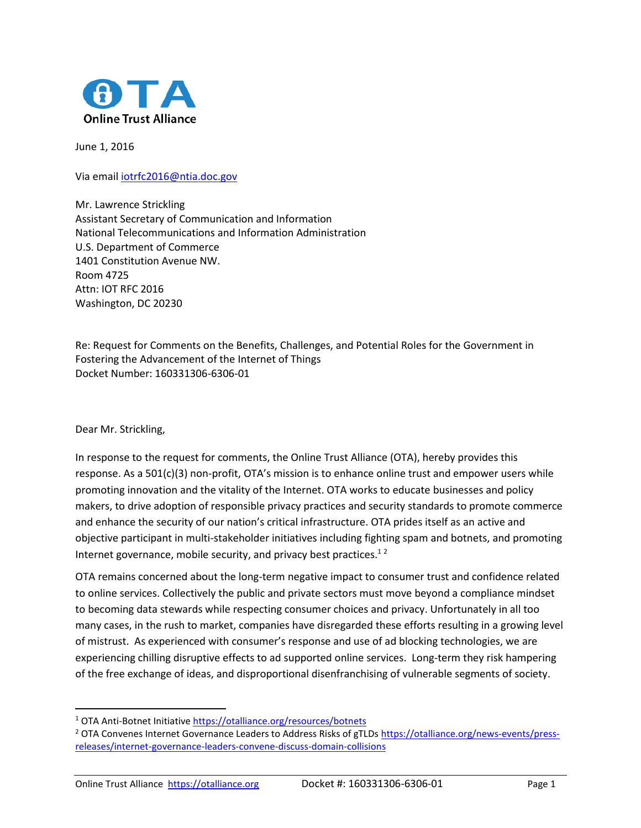

June 1, 2016

Via emai[l iotrfc2016@ntia.doc.gov](mailto:iotrfc2016@ntia.doc.gov)

Mr. Lawrence Strickling Assistant Secretary of Communication and Information National Telecommunications and Information Administration U.S. Department of Commerce 1401 Constitution Avenue NW. Room 4725 Attn: IOT RFC 2016 Washington, DC 20230

Re: Request for Comments on the Benefits, Challenges, and Potential Roles for the Government in Fostering the Advancement of the Internet of Things Docket Number: 160331306-6306-01

Dear Mr. Strickling,

 $\overline{\phantom{a}}$ 

In response to the request for comments, the Online Trust Alliance (OTA), hereby provides this response. As a 501(c)(3) non-profit, OTA's mission is to enhance online trust and empower users while promoting innovation and the vitality of the Internet. OTA works to educate businesses and policy makers, to drive adoption of responsible privacy practices and security standards to promote commerce and enhance the security of our nation's critical infrastructure. OTA prides itself as an active and objective participant in multi-stakeholder initiatives including fighting spam and botnets, and promoting Internet governance, mobile security, and privacy best practices. $12$ 

OTA remains concerned about the long-term negative impact to consumer trust and confidence related to online services. Collectively the public and private sectors must move beyond a compliance mindset to becoming data stewards while respecting consumer choices and privacy. Unfortunately in all too many cases, in the rush to market, companies have disregarded these efforts resulting in a growing level of mistrust. As experienced with consumer's response and use of ad blocking technologies, we are experiencing chilling disruptive effects to ad supported online services. Long-term they risk hampering of the free exchange of ideas, and disproportional disenfranchising of vulnerable segments of society.

<sup>1</sup> OTA Anti-Botnet Initiativ[e https://otalliance.org/resources/botnets](https://otalliance.org/resources/botnets)

<sup>&</sup>lt;sup>2</sup> OTA Convenes Internet Governance Leaders to Address Risks of gTLDs [https://otalliance.org/news-events/press](https://otalliance.org/news-events/press-releases/internet-governance-leaders-convene-discuss-domain-collisions)[releases/internet-governance-leaders-convene-discuss-domain-collisions](https://otalliance.org/news-events/press-releases/internet-governance-leaders-convene-discuss-domain-collisions)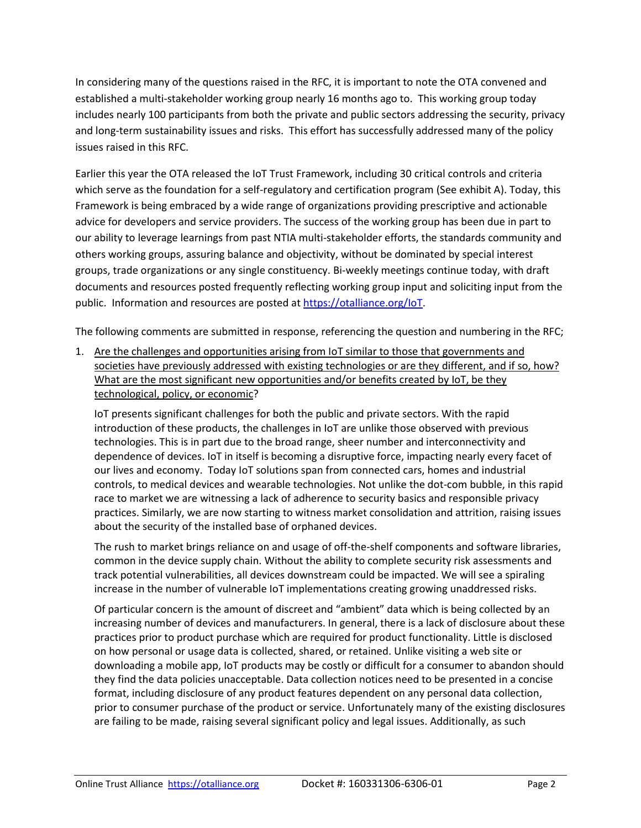In considering many of the questions raised in the RFC, it is important to note the OTA convened and established a multi-stakeholder working group nearly 16 months ago to. This working group today includes nearly 100 participants from both the private and public sectors addressing the security, privacy and long-term sustainability issues and risks. This effort has successfully addressed many of the policy issues raised in this RFC.

Earlier this year the OTA released the IoT Trust Framework, including 30 critical controls and criteria which serve as the foundation for a self-regulatory and certification program (See exhibit A). Today, this Framework is being embraced by a wide range of organizations providing prescriptive and actionable advice for developers and service providers. The success of the working group has been due in part to our ability to leverage learnings from past NTIA multi-stakeholder efforts, the standards community and others working groups, assuring balance and objectivity, without be dominated by special interest groups, trade organizations or any single constituency. Bi-weekly meetings continue today, with draft documents and resources posted frequently reflecting working group input and soliciting input from the public. Information and resources are posted a[t https://otalliance.org/IoT.](https://otalliance.org/IoT)

The following comments are submitted in response, referencing the question and numbering in the RFC;

1. Are the challenges and opportunities arising from IoT similar to those that governments and societies have previously addressed with existing technologies or are they different, and if so, how? What are the most significant new opportunities and/or benefits created by IoT, be they technological, policy, or economic?

IoT presents significant challenges for both the public and private sectors. With the rapid introduction of these products, the challenges in IoT are unlike those observed with previous technologies. This is in part due to the broad range, sheer number and interconnectivity and dependence of devices. IoT in itself is becoming a disruptive force, impacting nearly every facet of our lives and economy. Today IoT solutions span from connected cars, homes and industrial controls, to medical devices and wearable technologies. Not unlike the dot-com bubble, in this rapid race to market we are witnessing a lack of adherence to security basics and responsible privacy practices. Similarly, we are now starting to witness market consolidation and attrition, raising issues about the security of the installed base of orphaned devices.

The rush to market brings reliance on and usage of off-the-shelf components and software libraries, common in the device supply chain. Without the ability to complete security risk assessments and track potential vulnerabilities, all devices downstream could be impacted. We will see a spiraling increase in the number of vulnerable IoT implementations creating growing unaddressed risks.

Of particular concern is the amount of discreet and "ambient" data which is being collected by an increasing number of devices and manufacturers. In general, there is a lack of disclosure about these practices prior to product purchase which are required for product functionality. Little is disclosed on how personal or usage data is collected, shared, or retained. Unlike visiting a web site or downloading a mobile app, IoT products may be costly or difficult for a consumer to abandon should they find the data policies unacceptable. Data collection notices need to be presented in a concise format, including disclosure of any product features dependent on any personal data collection, prior to consumer purchase of the product or service. Unfortunately many of the existing disclosures are failing to be made, raising several significant policy and legal issues. Additionally, as such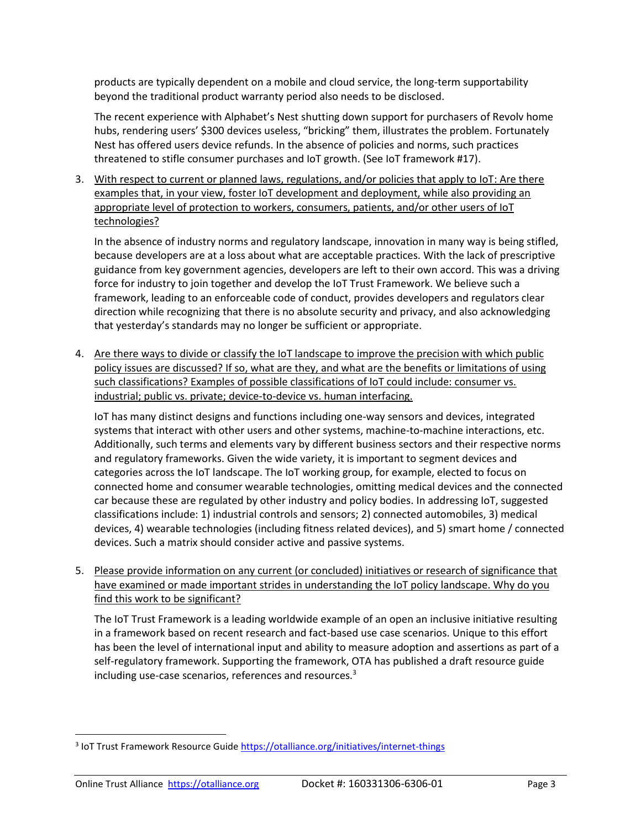products are typically dependent on a mobile and cloud service, the long-term supportability beyond the traditional product warranty period also needs to be disclosed.

The recent experience with Alphabet's Nest shutting down support for purchasers of Revolv home hubs, rendering users' \$300 devices useless, "bricking" them, illustrates the problem. Fortunately Nest has offered users device refunds. In the absence of policies and norms, such practices threatened to stifle consumer purchases and IoT growth. (See IoT framework #17).

3. With respect to current or planned laws, regulations, and/or policies that apply to IoT: Are there examples that, in your view, foster IoT development and deployment, while also providing an appropriate level of protection to workers, consumers, patients, and/or other users of IoT technologies?

In the absence of industry norms and regulatory landscape, innovation in many way is being stifled, because developers are at a loss about what are acceptable practices. With the lack of prescriptive guidance from key government agencies, developers are left to their own accord. This was a driving force for industry to join together and develop the IoT Trust Framework. We believe such a framework, leading to an enforceable code of conduct, provides developers and regulators clear direction while recognizing that there is no absolute security and privacy, and also acknowledging that yesterday's standards may no longer be sufficient or appropriate.

4. Are there ways to divide or classify the IoT landscape to improve the precision with which public policy issues are discussed? If so, what are they, and what are the benefits or limitations of using such classifications? Examples of possible classifications of IoT could include: consumer vs. industrial; public vs. private; device-to-device vs. human interfacing.

IoT has many distinct designs and functions including one-way sensors and devices, integrated systems that interact with other users and other systems, machine-to-machine interactions, etc. Additionally, such terms and elements vary by different business sectors and their respective norms and regulatory frameworks. Given the wide variety, it is important to segment devices and categories across the IoT landscape. The IoT working group, for example, elected to focus on connected home and consumer wearable technologies, omitting medical devices and the connected car because these are regulated by other industry and policy bodies. In addressing IoT, suggested classifications include: 1) industrial controls and sensors; 2) connected automobiles, 3) medical devices, 4) wearable technologies (including fitness related devices), and 5) smart home / connected devices. Such a matrix should consider active and passive systems.

5. Please provide information on any current (or concluded) initiatives or research of significance that have examined or made important strides in understanding the IoT policy landscape. Why do you find this work to be significant?

The IoT Trust Framework is a leading worldwide example of an open an inclusive initiative resulting in a framework based on recent research and fact-based use case scenarios. Unique to this effort has been the level of international input and ability to measure adoption and assertions as part of a self-regulatory framework. Supporting the framework, OTA has published a draft resource guide including use-case scenarios, references and resources.<sup>3</sup>

 $\overline{\phantom{a}}$ 

<sup>&</sup>lt;sup>3</sup> IoT Trust Framework Resource Guide<https://otalliance.org/initiatives/internet-things>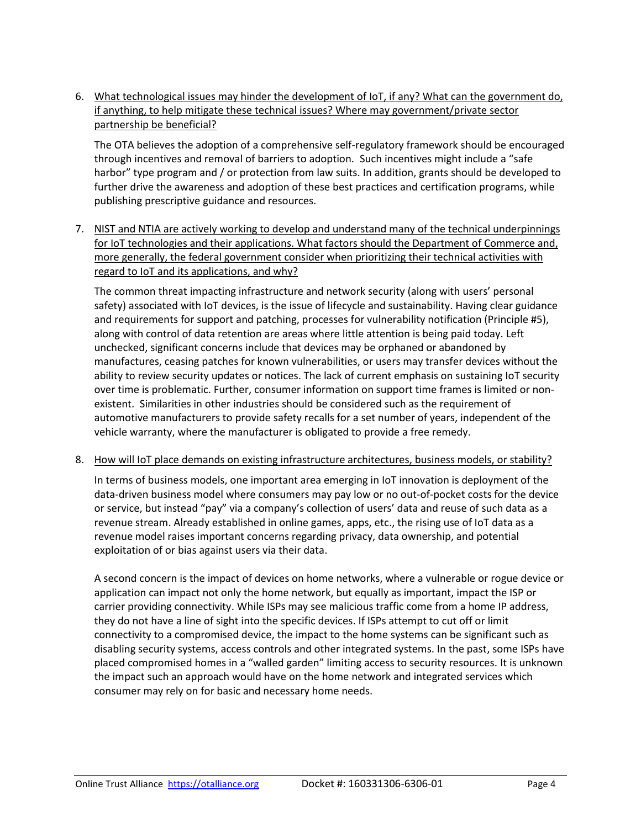6. What technological issues may hinder the development of IoT, if any? What can the government do, if anything, to help mitigate these technical issues? Where may government/private sector partnership be beneficial?

The OTA believes the adoption of a comprehensive self-regulatory framework should be encouraged through incentives and removal of barriers to adoption. Such incentives might include a "safe harbor" type program and / or protection from law suits. In addition, grants should be developed to further drive the awareness and adoption of these best practices and certification programs, while publishing prescriptive guidance and resources.

7. NIST and NTIA are actively working to develop and understand many of the technical underpinnings for IoT technologies and their applications. What factors should the Department of Commerce and, more generally, the federal government consider when prioritizing their technical activities with regard to IoT and its applications, and why?

The common threat impacting infrastructure and network security (along with users' personal safety) associated with IoT devices, is the issue of lifecycle and sustainability. Having clear guidance and requirements for support and patching, processes for vulnerability notification (Principle #5), along with control of data retention are areas where little attention is being paid today. Left unchecked, significant concerns include that devices may be orphaned or abandoned by manufactures, ceasing patches for known vulnerabilities, or users may transfer devices without the ability to review security updates or notices. The lack of current emphasis on sustaining IoT security over time is problematic. Further, consumer information on support time frames is limited or nonexistent. Similarities in other industries should be considered such as the requirement of automotive manufacturers to provide safety recalls for a set number of years, independent of the vehicle warranty, where the manufacturer is obligated to provide a free remedy.

8. How will IoT place demands on existing infrastructure architectures, business models, or stability?

In terms of business models, one important area emerging in IoT innovation is deployment of the data-driven business model where consumers may pay low or no out-of-pocket costs for the device or service, but instead "pay" via a company's collection of users' data and reuse of such data as a revenue stream. Already established in online games, apps, etc., the rising use of IoT data as a revenue model raises important concerns regarding privacy, data ownership, and potential exploitation of or bias against users via their data.

A second concern is the impact of devices on home networks, where a vulnerable or rogue device or application can impact not only the home network, but equally as important, impact the ISP or carrier providing connectivity. While ISPs may see malicious traffic come from a home IP address, they do not have a line of sight into the specific devices. If ISPs attempt to cut off or limit connectivity to a compromised device, the impact to the home systems can be significant such as disabling security systems, access controls and other integrated systems. In the past, some ISPs have placed compromised homes in a "walled garden" limiting access to security resources. It is unknown the impact such an approach would have on the home network and integrated services which consumer may rely on for basic and necessary home needs.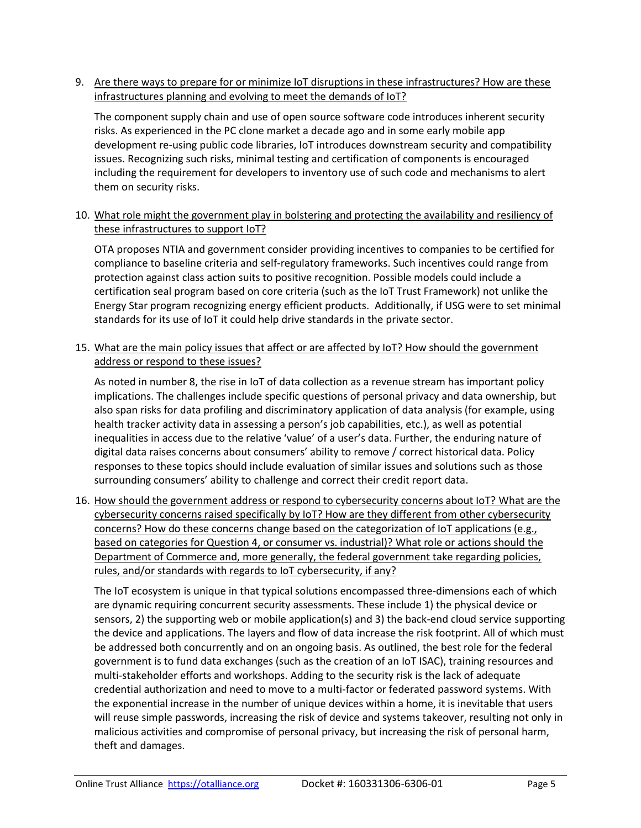9. Are there ways to prepare for or minimize IoT disruptions in these infrastructures? How are these infrastructures planning and evolving to meet the demands of IoT?

The component supply chain and use of open source software code introduces inherent security risks. As experienced in the PC clone market a decade ago and in some early mobile app development re-using public code libraries, IoT introduces downstream security and compatibility issues. Recognizing such risks, minimal testing and certification of components is encouraged including the requirement for developers to inventory use of such code and mechanisms to alert them on security risks.

10. What role might the government play in bolstering and protecting the availability and resiliency of these infrastructures to support IoT?

OTA proposes NTIA and government consider providing incentives to companies to be certified for compliance to baseline criteria and self-regulatory frameworks. Such incentives could range from protection against class action suits to positive recognition. Possible models could include a certification seal program based on core criteria (such as the IoT Trust Framework) not unlike the Energy Star program recognizing energy efficient products. Additionally, if USG were to set minimal standards for its use of IoT it could help drive standards in the private sector.

15. What are the main policy issues that affect or are affected by IoT? How should the government address or respond to these issues?

As noted in number 8, the rise in IoT of data collection as a revenue stream has important policy implications. The challenges include specific questions of personal privacy and data ownership, but also span risks for data profiling and discriminatory application of data analysis (for example, using health tracker activity data in assessing a person's job capabilities, etc.), as well as potential inequalities in access due to the relative 'value' of a user's data. Further, the enduring nature of digital data raises concerns about consumers' ability to remove / correct historical data. Policy responses to these topics should include evaluation of similar issues and solutions such as those surrounding consumers' ability to challenge and correct their credit report data.

16. How should the government address or respond to cybersecurity concerns about IoT? What are the cybersecurity concerns raised specifically by IoT? How are they different from other cybersecurity concerns? How do these concerns change based on the categorization of IoT applications (e.g., based on categories for Question 4, or consumer vs. industrial)? What role or actions should the Department of Commerce and, more generally, the federal government take regarding policies, rules, and/or standards with regards to IoT cybersecurity, if any?

The IoT ecosystem is unique in that typical solutions encompassed three-dimensions each of which are dynamic requiring concurrent security assessments. These include 1) the physical device or sensors, 2) the supporting web or mobile application(s) and 3) the back-end cloud service supporting the device and applications. The layers and flow of data increase the risk footprint. All of which must be addressed both concurrently and on an ongoing basis. As outlined, the best role for the federal government is to fund data exchanges (such as the creation of an IoT ISAC), training resources and multi-stakeholder efforts and workshops. Adding to the security risk is the lack of adequate credential authorization and need to move to a multi-factor or federated password systems. With the exponential increase in the number of unique devices within a home, it is inevitable that users will reuse simple passwords, increasing the risk of device and systems takeover, resulting not only in malicious activities and compromise of personal privacy, but increasing the risk of personal harm, theft and damages.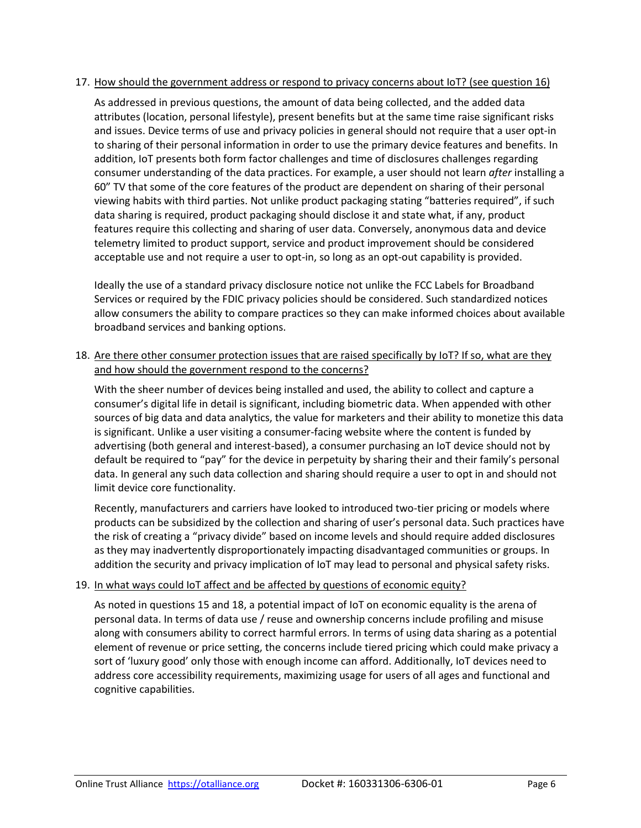#### 17. How should the government address or respond to privacy concerns about IoT? (see question 16)

As addressed in previous questions, the amount of data being collected, and the added data attributes (location, personal lifestyle), present benefits but at the same time raise significant risks and issues. Device terms of use and privacy policies in general should not require that a user opt-in to sharing of their personal information in order to use the primary device features and benefits. In addition, IoT presents both form factor challenges and time of disclosures challenges regarding consumer understanding of the data practices. For example, a user should not learn *after* installing a 60" TV that some of the core features of the product are dependent on sharing of their personal viewing habits with third parties. Not unlike product packaging stating "batteries required", if such data sharing is required, product packaging should disclose it and state what, if any, product features require this collecting and sharing of user data. Conversely, anonymous data and device telemetry limited to product support, service and product improvement should be considered acceptable use and not require a user to opt-in, so long as an opt-out capability is provided.

Ideally the use of a standard privacy disclosure notice not unlike the FCC Labels for Broadband Services or required by the FDIC privacy policies should be considered. Such standardized notices allow consumers the ability to compare practices so they can make informed choices about available broadband services and banking options.

### 18. Are there other consumer protection issues that are raised specifically by IoT? If so, what are they and how should the government respond to the concerns?

With the sheer number of devices being installed and used, the ability to collect and capture a consumer's digital life in detail is significant, including biometric data. When appended with other sources of big data and data analytics, the value for marketers and their ability to monetize this data is significant. Unlike a user visiting a consumer-facing website where the content is funded by advertising (both general and interest-based), a consumer purchasing an IoT device should not by default be required to "pay" for the device in perpetuity by sharing their and their family's personal data. In general any such data collection and sharing should require a user to opt in and should not limit device core functionality.

Recently, manufacturers and carriers have looked to introduced two-tier pricing or models where products can be subsidized by the collection and sharing of user's personal data. Such practices have the risk of creating a "privacy divide" based on income levels and should require added disclosures as they may inadvertently disproportionately impacting disadvantaged communities or groups. In addition the security and privacy implication of IoT may lead to personal and physical safety risks.

#### 19. In what ways could IoT affect and be affected by questions of economic equity?

As noted in questions 15 and 18, a potential impact of IoT on economic equality is the arena of personal data. In terms of data use / reuse and ownership concerns include profiling and misuse along with consumers ability to correct harmful errors. In terms of using data sharing as a potential element of revenue or price setting, the concerns include tiered pricing which could make privacy a sort of 'luxury good' only those with enough income can afford. Additionally, IoT devices need to address core accessibility requirements, maximizing usage for users of all ages and functional and cognitive capabilities.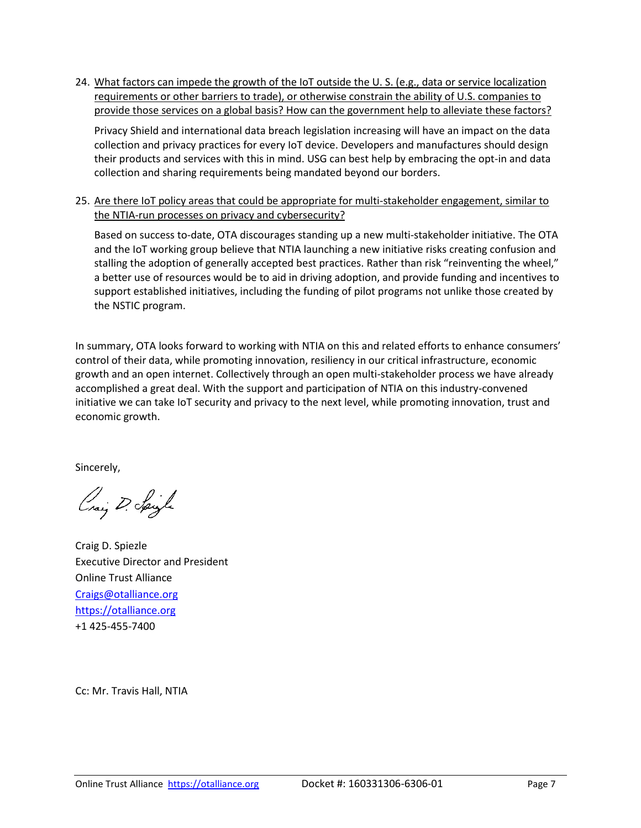24. What factors can impede the growth of the IoT outside the U. S. (e.g., data or service localization requirements or other barriers to trade), or otherwise constrain the ability of U.S. companies to provide those services on a global basis? How can the government help to alleviate these factors?

Privacy Shield and international data breach legislation increasing will have an impact on the data collection and privacy practices for every IoT device. Developers and manufactures should design their products and services with this in mind. USG can best help by embracing the opt-in and data collection and sharing requirements being mandated beyond our borders.

25. Are there IoT policy areas that could be appropriate for multi-stakeholder engagement, similar to the NTIA-run processes on privacy and cybersecurity?

Based on success to-date, OTA discourages standing up a new multi-stakeholder initiative. The OTA and the IoT working group believe that NTIA launching a new initiative risks creating confusion and stalling the adoption of generally accepted best practices. Rather than risk "reinventing the wheel," a better use of resources would be to aid in driving adoption, and provide funding and incentives to support established initiatives, including the funding of pilot programs not unlike those created by the NSTIC program.

In summary, OTA looks forward to working with NTIA on this and related efforts to enhance consumers' control of their data, while promoting innovation, resiliency in our critical infrastructure, economic growth and an open internet. Collectively through an open multi-stakeholder process we have already accomplished a great deal. With the support and participation of NTIA on this industry-convened initiative we can take IoT security and privacy to the next level, while promoting innovation, trust and economic growth.

Sincerely,

Craiz D. Spigle

Craig D. Spiezle Executive Director and President Online Trust Alliance [Craigs@otalliance.org](mailto:Craigs@otalliance.org) [https://otalliance.org](https://otalliance.org/) +1 425-455-7400

Cc: Mr. Travis Hall, NTIA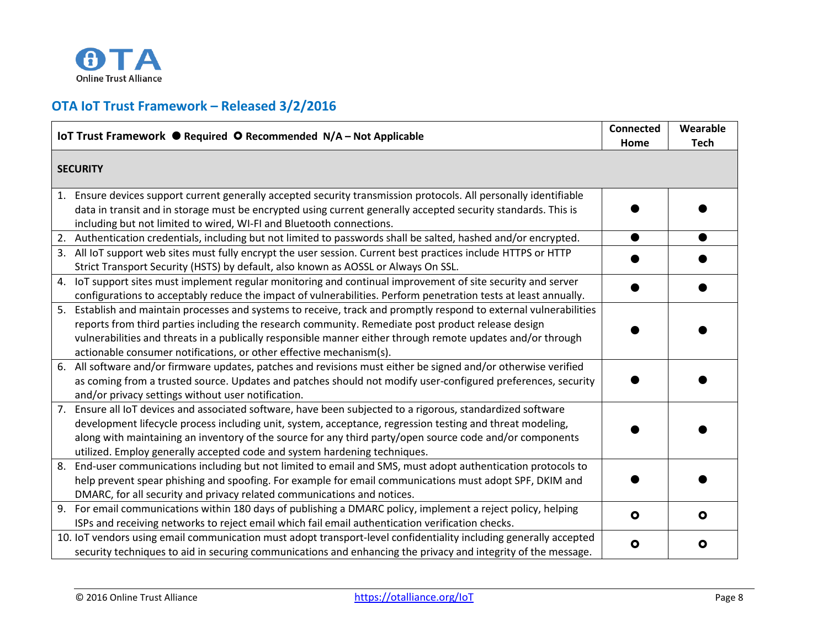

# **OTA IoT Trust Framework – Released 3/2/2016**

| IoT Trust Framework ● Required ● Recommended N/A - Not Applicable                                                                                                                                                                                                                                                                                                                                                    | <b>Connected</b><br>Home | Wearable<br><b>Tech</b> |
|----------------------------------------------------------------------------------------------------------------------------------------------------------------------------------------------------------------------------------------------------------------------------------------------------------------------------------------------------------------------------------------------------------------------|--------------------------|-------------------------|
| <b>SECURITY</b>                                                                                                                                                                                                                                                                                                                                                                                                      |                          |                         |
| 1. Ensure devices support current generally accepted security transmission protocols. All personally identifiable<br>data in transit and in storage must be encrypted using current generally accepted security standards. This is<br>including but not limited to wired, WI-FI and Bluetooth connections.                                                                                                           |                          |                         |
| Authentication credentials, including but not limited to passwords shall be salted, hashed and/or encrypted.<br>2.<br>All IoT support web sites must fully encrypt the user session. Current best practices include HTTPS or HTTP<br>3.                                                                                                                                                                              |                          |                         |
| Strict Transport Security (HSTS) by default, also known as AOSSL or Always On SSL.                                                                                                                                                                                                                                                                                                                                   |                          |                         |
| loT support sites must implement regular monitoring and continual improvement of site security and server<br>4.<br>configurations to acceptably reduce the impact of vulnerabilities. Perform penetration tests at least annually.                                                                                                                                                                                   |                          |                         |
| Establish and maintain processes and systems to receive, track and promptly respond to external vulnerabilities<br>5.<br>reports from third parties including the research community. Remediate post product release design<br>vulnerabilities and threats in a publically responsible manner either through remote updates and/or through<br>actionable consumer notifications, or other effective mechanism(s).    |                          |                         |
| All software and/or firmware updates, patches and revisions must either be signed and/or otherwise verified<br>6.<br>as coming from a trusted source. Updates and patches should not modify user-configured preferences, security<br>and/or privacy settings without user notification.                                                                                                                              |                          |                         |
| Ensure all IoT devices and associated software, have been subjected to a rigorous, standardized software<br>7.<br>development lifecycle process including unit, system, acceptance, regression testing and threat modeling,<br>along with maintaining an inventory of the source for any third party/open source code and/or components<br>utilized. Employ generally accepted code and system hardening techniques. |                          |                         |
| End-user communications including but not limited to email and SMS, must adopt authentication protocols to<br>8.<br>help prevent spear phishing and spoofing. For example for email communications must adopt SPF, DKIM and<br>DMARC, for all security and privacy related communications and notices.                                                                                                               |                          |                         |
| For email communications within 180 days of publishing a DMARC policy, implement a reject policy, helping<br>9.<br>ISPs and receiving networks to reject email which fail email authentication verification checks.                                                                                                                                                                                                  | $\bullet$                | О                       |
| 10. IoT vendors using email communication must adopt transport-level confidentiality including generally accepted<br>security techniques to aid in securing communications and enhancing the privacy and integrity of the message.                                                                                                                                                                                   | $\bullet$                | О                       |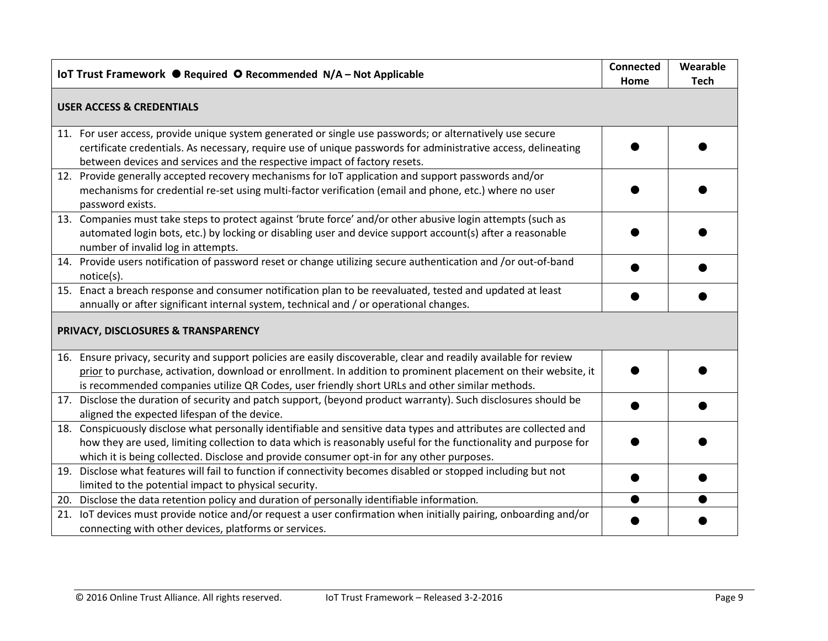| IoT Trust Framework ● Required ● Recommended N/A - Not Applicable                                                                                                                                                                                                                                                                     | <b>Connected</b><br>Home | Wearable<br><b>Tech</b> |  |  |  |  |
|---------------------------------------------------------------------------------------------------------------------------------------------------------------------------------------------------------------------------------------------------------------------------------------------------------------------------------------|--------------------------|-------------------------|--|--|--|--|
| <b>USER ACCESS &amp; CREDENTIALS</b>                                                                                                                                                                                                                                                                                                  |                          |                         |  |  |  |  |
| 11. For user access, provide unique system generated or single use passwords; or alternatively use secure<br>certificate credentials. As necessary, require use of unique passwords for administrative access, delineating<br>between devices and services and the respective impact of factory resets.                               |                          |                         |  |  |  |  |
| 12. Provide generally accepted recovery mechanisms for IoT application and support passwords and/or<br>mechanisms for credential re-set using multi-factor verification (email and phone, etc.) where no user<br>password exists.                                                                                                     |                          |                         |  |  |  |  |
| 13. Companies must take steps to protect against 'brute force' and/or other abusive login attempts (such as<br>automated login bots, etc.) by locking or disabling user and device support account(s) after a reasonable<br>number of invalid log in attempts.                                                                        |                          |                         |  |  |  |  |
| 14. Provide users notification of password reset or change utilizing secure authentication and /or out-of-band<br>notice(s).                                                                                                                                                                                                          |                          |                         |  |  |  |  |
| 15. Enact a breach response and consumer notification plan to be reevaluated, tested and updated at least<br>annually or after significant internal system, technical and / or operational changes.                                                                                                                                   |                          |                         |  |  |  |  |
| PRIVACY, DISCLOSURES & TRANSPARENCY                                                                                                                                                                                                                                                                                                   |                          |                         |  |  |  |  |
| 16. Ensure privacy, security and support policies are easily discoverable, clear and readily available for review<br>prior to purchase, activation, download or enrollment. In addition to prominent placement on their website, it<br>is recommended companies utilize QR Codes, user friendly short URLs and other similar methods. |                          |                         |  |  |  |  |
| 17. Disclose the duration of security and patch support, (beyond product warranty). Such disclosures should be<br>aligned the expected lifespan of the device.                                                                                                                                                                        |                          |                         |  |  |  |  |
| 18. Conspicuously disclose what personally identifiable and sensitive data types and attributes are collected and<br>how they are used, limiting collection to data which is reasonably useful for the functionality and purpose for<br>which it is being collected. Disclose and provide consumer opt-in for any other purposes.     |                          |                         |  |  |  |  |
| 19. Disclose what features will fail to function if connectivity becomes disabled or stopped including but not<br>limited to the potential impact to physical security.                                                                                                                                                               |                          |                         |  |  |  |  |
| 20. Disclose the data retention policy and duration of personally identifiable information.                                                                                                                                                                                                                                           |                          |                         |  |  |  |  |
| 21. IoT devices must provide notice and/or request a user confirmation when initially pairing, onboarding and/or<br>connecting with other devices, platforms or services.                                                                                                                                                             |                          |                         |  |  |  |  |